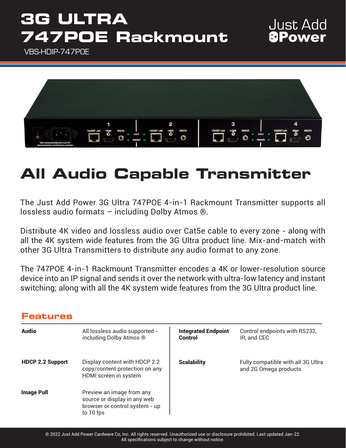## **3G ULTRA 747POE Rackmount**

VBS-HDIP-747POE



### **All Audio Capable Transmitter**

The Just Add Power 3G Ultra 747POE 4-in-1 Rackmount Transmitter supports all lossless audio formats – including Dolby Atmos ®.

Distribute 4K video and lossless audio over Cat5e cable to every zone - along with all the 4K system wide features from the 3G Ultra product line. Mix-and-match with other 3G Ultra Transmitters to distribute any audio format to any zone.

The 747POE 4-in-1 Rackmount Transmitter encodes a 4K or lower-resolution source device into an IP signal and sends it over the network with ultra-low latency and instant switching; along with all the 4K system wide features from the 3G Ultra product line.

### **Features**

| <b>Audio</b>            | All lossless audio supported -<br>including Dolby Atmos ®                                                | <b>Integrated Endpoint</b><br>Control | Control endpoints with RS232,<br>IR, and CEC                |
|-------------------------|----------------------------------------------------------------------------------------------------------|---------------------------------------|-------------------------------------------------------------|
| <b>HDCP 2.2 Support</b> | Display content with HDCP 2.2<br>copy/content protection on any<br>HDMI screen in system                 | <b>Scalability</b>                    | Fully compatible with all 3G Ultra<br>and 2G Omega products |
| <b>Image Pull</b>       | Preview an image from any<br>source or display in any web<br>browser or control system - up<br>to 10 fps |                                       |                                                             |